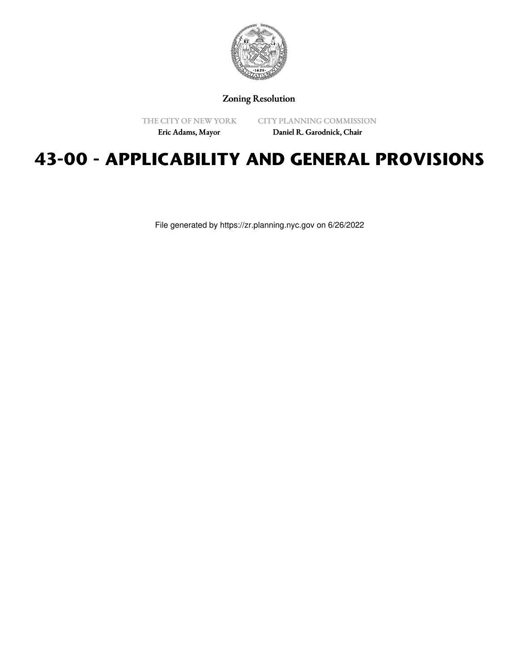

Zoning Resolution

THE CITY OF NEW YORK

CITY PLANNING COMMISSION

Eric Adams, Mayor

Daniel R. Garodnick, Chair

# **43-00 - APPLICABILITY AND GENERAL PROVISIONS**

File generated by https://zr.planning.nyc.gov on 6/26/2022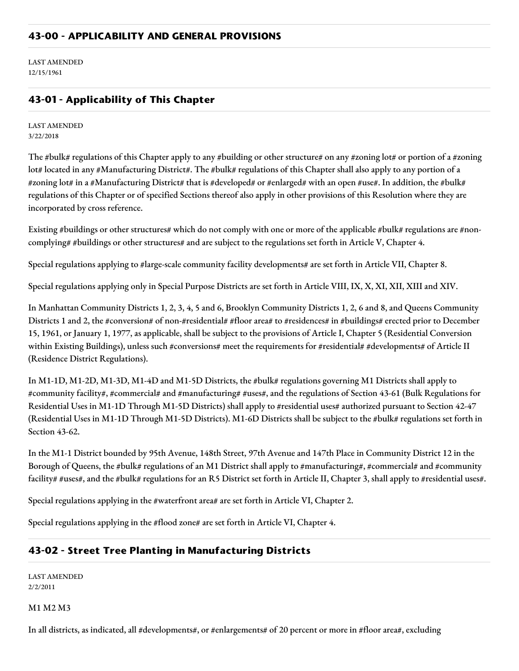LAST AMENDED 12/15/1961

## **43-01 - Applicability of This Chapter**

LAST AMENDED 3/22/2018

The #bulk# regulations of this Chapter apply to any #building or other structure# on any #zoning lot# or portion of a #zoning lot# located in any #Manufacturing District#. The #bulk# regulations of this Chapter shall also apply to any portion of a #zoning lot# in a #Manufacturing District# that is #developed# or #enlarged# with an open #use#. In addition, the #bulk# regulations of this Chapter or of specified Sections thereof also apply in other provisions of this Resolution where they are incorporated by cross reference.

Existing #buildings or other structures# which do not comply with one or more of the applicable #bulk# regulations are #noncomplying# #buildings or other structures# and are subject to the regulations set forth in Article V, Chapter 4.

Special regulations applying to #large-scale community facility developments# are set forth in Article VII, Chapter 8.

Special regulations applying only in Special Purpose Districts are set forth in Article VIII, IX, X, XI, XII, XIII and XIV.

In Manhattan Community Districts 1, 2, 3, 4, 5 and 6, Brooklyn Community Districts 1, 2, 6 and 8, and Queens Community Districts 1 and 2, the #conversion# of non-#residential# #floor area# to #residences# in #buildings# erected prior to December 15, 1961, or January 1, 1977, as applicable, shall be subject to the provisions of Article I, Chapter 5 (Residential Conversion within Existing Buildings), unless such #conversions# meet the requirements for #residential# #developments# of Article II (Residence District Regulations).

In M1-1D, M1-2D, M1-3D, M1-4D and M1-5D Districts, the #bulk# regulations governing M1 Districts shall apply to #community facility#, #commercial# and #manufacturing# #uses#, and the regulations of Section 43-61 (Bulk Regulations for Residential Uses in M1-1D Through M1-5D Districts) shall apply to #residential uses# authorized pursuant to Section 42-47 (Residential Uses in M1-1D Through M1-5D Districts). M1-6D Districts shall be subject to the #bulk# regulations set forth in Section 43-62.

In the M1-1 District bounded by 95th Avenue, 148th Street, 97th Avenue and 147th Place in Community District 12 in the Borough of Queens, the #bulk# regulations of an M1 District shall apply to #manufacturing#, #commercial# and #community facility# #uses#, and the #bulk# regulations for an R5 District set forth in Article II, Chapter 3, shall apply to #residential uses#.

Special regulations applying in the #waterfront area# are set forth in Article VI, Chapter 2.

Special regulations applying in the #flood zone# are set forth in Article VI, Chapter 4.

### **43-02 - Street Tree Planting in Manufacturing Districts**

LAST AMENDED 2/2/2011

M1 M2 M3

In all districts, as indicated, all #developments#, or #enlargements# of 20 percent or more in #floor area#, excluding